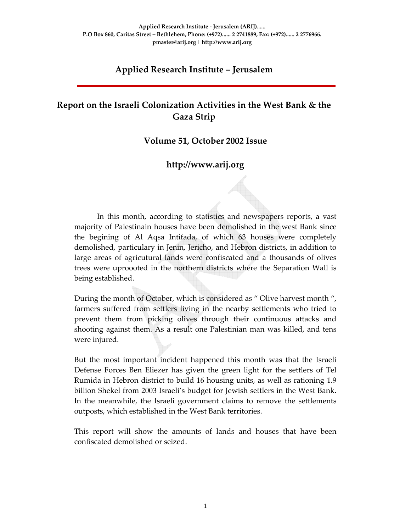# **Applied Research Institute – Jerusalem**

# **Report on the Israeli Colonization Activities in the West Bank & the Gaza Strip**

#### **Volume 51, October 2002 Issue**

#### **http://www.arij.org**

In this month, according to statistics and newspapers reports, a vast majority of Palestinain houses have been demolished in the west Bank since the begining of Al Aqsa Intifada, of which 63 houses were completely demolished, particulary in Jenin, Jericho, and Hebron districts, in addition to large areas of agricutural lands were confiscated and a thousands of olives trees were uproooted in the northern districts where the Separation Wall is being established.

During the month of October, which is considered as " Olive harvest month ", farmers suffered from settlers living in the nearby settlements who tried to prevent them from picking olives through their continuous attacks and shooting against them. As a result one Palestinian man was killed, and tens were injured.

But the most important incident happened this month was that the Israeli Defense Forces Ben Eliezer has given the green light for the settlers of Tel Rumida in Hebron district to build 16 housing units, as well as rationing 1.9 billion Shekel from 2003 Israeli's budget for Jewish settlers in the West Bank. In the meanwhile, the Israeli government claims to remove the settlements outposts, which established in the West Bank territories.

This report will show the amounts of lands and houses that have been confiscated demolished or seized.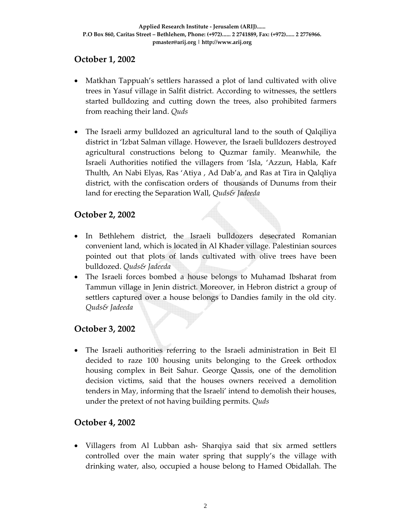# **October 1, 2002**

- Matkhan Tappuah's settlers harassed a plot of land cultivated with olive trees in Yasuf village in Salfit district. According to witnesses, the settlers started bulldozing and cutting down the trees, also prohibited farmers from reaching their land. *Quds*
- The Israeli army bulldozed an agricultural land to the south of Qalqiliya district in 'Izbat Salman village. However, the Israeli bulldozers destroyed agricultural constructions belong to Quzmar family. Meanwhile, the Israeli Authorities notified the villagers from 'Isla, 'Azzun, Habla, Kafr Thulth, An Nabi Elyas, Ras 'Atiya , Ad Dab'a, and Ras at Tira in Qalqliya district, with the confiscation orders of thousands of Dunums from their land for erecting the Separation Wall, *Quds& Jadeeda*

# **October 2, 2002**

- In Bethlehem district, the Israeli bulldozers desecrated Romanian convenient land, which is located in Al Khader village. Palestinian sources pointed out that plots of lands cultivated with olive trees have been bulldozed. *Quds& Jadeeda*
- The Israeli forces bombed a house belongs to Muhamad Ibsharat from Tammun village in Jenin district. Moreover, in Hebron district a group of settlers captured over a house belongs to Dandies family in the old city*. Quds& Jadeeda*

## **October 3, 2002**

• The Israeli authorities referring to the Israeli administration in Beit El decided to raze 100 housing units belonging to the Greek orthodox housing complex in Beit Sahur. George Qassis, one of the demolition decision victims, said that the houses owners received a demolition tenders in May, informing that the Israeli' intend to demolish their houses, under the pretext of not having building permits*. Quds* 

## **October 4, 2002**

• Villagers from Al Lubban ash-Sharqiya said that six armed settlers controlled over the main water spring that supply's the village with drinking water, also, occupied a house belong to Hamed Obidallah. The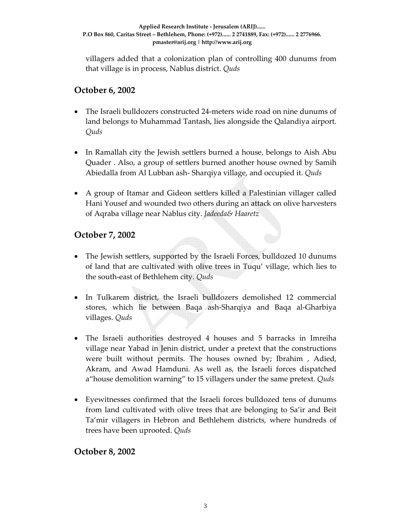villagers added that a colonization plan of controlling 400 dunums from that village is in process, Nablus district. *Quds* 

## **October 6, 2002**

- The Israeli bulldozers constructed 24‐meters wide road on nine dunums of land belongs to Muhammad Tantash, lies alongside the Qalandiya airport. *Quds*
- In Ramallah city the Jewish settlers burned a house, belongs to Aish Abu Quader . Also, a group of settlers burned another house owned by Samih Abiedalla from Al Lubban ash‐ Sharqiya village, and occupied it. *Quds*
- A group of Itamar and Gideon settlers killed a Palestinian villager called Hani Yousef and wounded two others during an attack on olive harvesters of Aqraba village near Nablus city. *Jadeeda& Haaretz*

# **October 7, 2002**

- The Jewish settlers, supported by the Israeli Forces, bulldozed 10 dunums of land that are cultivated with olive trees in Tuqu' village, which lies to the south‐east of Bethlehem city*. Quds*
- In Tulkarem district, the Israeli bulldozers demolished 12 commercial stores, which lie between Baqa ash‐Sharqiya and Baqa al‐Gharbiya villages. *Quds*
- The Israeli authorities destroyed 4 houses and 5 barracks in Imreiha village near Yabad in Jenin district, under a pretext that the constructions were built without permits. The houses owned by; Ibrahim , Adied, Akram, and Awad Hamduni. As well as, the Israeli forces dispatched a"house demolition warning" to 15 villagers under the same pretext*. Quds*
- Eyewitnesses confirmed that the Israeli forces bulldozed tens of dunums from land cultivated with olive trees that are belonging to Sa'ir and Beit Ta'mir villagers in Hebron and Bethlehem districts, where hundreds of trees have been uprooted. *Quds*

**October 8, 2002**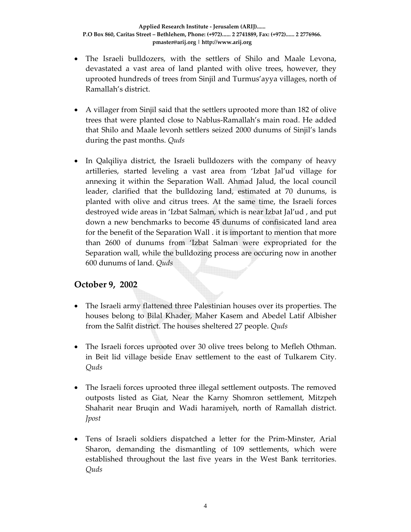- The Israeli bulldozers, with the settlers of Shilo and Maale Levona, devastated a vast area of land planted with olive trees, however, they uprooted hundreds of trees from Sinjil and Turmus'ayya villages, north of Ramallah's district.
- A villager from Sinjil said that the settlers uprooted more than 182 of olive trees that were planted close to Nablus‐Ramallah's main road. He added that Shilo and Maale levonh settlers seized 2000 dunums of Sinjil's lands during the past months. *Quds*
- In Qalqiliya district, the Israeli bulldozers with the company of heavy artilleries, started leveling a vast area from 'Izbat Jal'ud village for annexing it within the Separation Wall. Ahmad Jalud, the local council leader, clarified that the bulldozing land, estimated at 70 dunums, is planted with olive and citrus trees. At the same time, the Israeli forces destroyed wide areas in 'Izbat Salman, which is near Izbat Jal'ud , and put down a new benchmarks to become 45 dunums of confisicated land area for the benefit of the Separation Wall . it is important to mention that more than 2600 of dunums from 'Izbat Salman were expropriated for the Separation wall, while the bulldozing process are occuring now in another 600 dunums of land. *Quds*

## **October 9, 2002**

- The Israeli army flattened three Palestinian houses over its properties. The houses belong to Bilal Khader, Maher Kasem and Abedel Latif Albisher from the Salfit district. The houses sheltered 27 people. *Quds*
- The Israeli forces uprooted over 30 olive trees belong to Mefleh Othman. in Beit lid village beside Enav settlement to the east of Tulkarem City. *Quds*
- The Israeli forces uprooted three illegal settlement outposts. The removed outposts listed as Giat, Near the Karny Shomron settlement, Mitzpeh Shaharit near Bruqin and Wadi haramiyeh, north of Ramallah district. *Jpost*
- Tens of Israeli soldiers dispatched a letter for the Prim-Minster, Arial Sharon, demanding the dismantling of 109 settlements, which were established throughout the last five years in the West Bank territories. *Quds*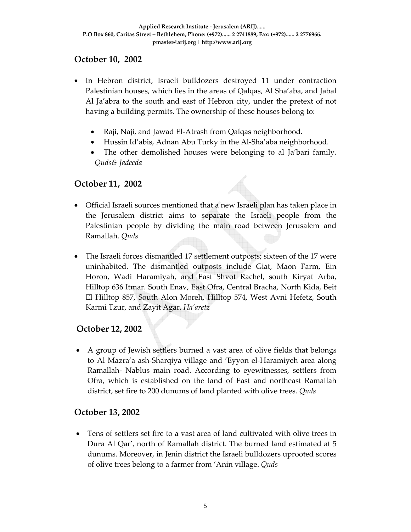# **October 10, 2002**

- In Hebron district, Israeli bulldozers destroyed 11 under contraction Palestinian houses, which lies in the areas of Qalqas, Al Sha'aba, and Jabal Al Ja'abra to the south and east of Hebron city, under the pretext of not having a building permits. The ownership of these houses belong to:
	- Raji, Naji, and Jawad El-Atrash from Qalqas neighborhood.
	- Hussin Id'abis, Adnan Abu Turky in the Al‐Sha'aba neighborhood.
	- The other demolished houses were belonging to al Ja'bari family*. Quds& Jadeeda*

## **October 11, 2002**

- Official Israeli sources mentioned that a new Israeli plan has taken place in the Jerusalem district aims to separate the Israeli people from the Palestinian people by dividing the main road between Jerusalem and Ramallah. *Quds*
- The Israeli forces dismantled 17 settlement outposts; sixteen of the 17 were uninhabited. The dismantled outposts include Giat, Maon Farm, Ein Horon, Wadi Haramiyah, and East Shvot Rachel, south Kiryat Arba, Hilltop 636 Itmar. South Enav, East Ofra, Central Bracha, North Kida, Beit El Hilltop 857, South Alon Moreh, Hilltop 574, West Avni Hefetz, South Karmi Tzur, and Zayit Agar. *Ha'aretz*

## **October 12, 2002**

• A group of Jewish settlers burned a vast area of olive fields that belongs to Al Mazra'a ash‐Sharqiya village and 'Eyyon el‐Haramiyeh area along Ramallah‐ Nablus main road. According to eyewitnesses, settlers from Ofra, which is established on the land of East and northeast Ramallah district, set fire to 200 dunums of land planted with olive trees. *Quds* 

#### **October 13, 2002**

• Tens of settlers set fire to a vast area of land cultivated with olive trees in Dura Al Qar', north of Ramallah district. The burned land estimated at 5 dunums. Moreover, in Jenin district the Israeli bulldozers uprooted scores of olive trees belong to a farmer from 'Anin village. *Quds*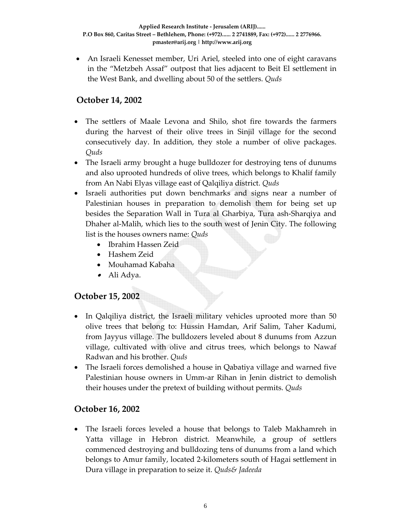• An Israeli Kenesset member, Uri Ariel, steeled into one of eight caravans in the "Metzbeh Assaf" outpost that lies adjacent to Beit El settlement in the West Bank, and dwelling about 50 of the settlers. *Quds*

# **October 14, 2002**

- The settlers of Maale Levona and Shilo, shot fire towards the farmers during the harvest of their olive trees in Sinjil village for the second consecutively day. In addition, they stole a number of olive packages. *Quds*
- The Israeli army brought a huge bulldozer for destroying tens of dunums and also uprooted hundreds of olive trees, which belongs to Khalif family from An Nabi Elyas village east of Qalqiliya district. *Quds*
- Israeli authorities put down benchmarks and signs near a number of Palestinian houses in preparation to demolish them for being set up besides the Separation Wall in Tura al Gharbiya, Tura ash‐Sharqiya and Dhaher al‐Malih, which lies to the south west of Jenin City. The following list is the houses owners name: *Quds*
	- Ibrahim Hassen Zeid
	- Hashem Zeid
	- Mouhamad Kabaha
	- Ali Adya.

## **October 15, 2002**

- In Qalqiliya district, the Israeli military vehicles uprooted more than 50 olive trees that belong to: Hussin Hamdan, Arif Salim, Taher Kadumi, from Jayyus village. The bulldozers leveled about 8 dunums from Azzun village, cultivated with olive and citrus trees, which belongs to Nawaf Radwan and his brother. *Quds*
- The Israeli forces demolished a house in Qabatiya village and warned five Palestinian house owners in Umm‐ar Rihan in Jenin district to demolish their houses under the pretext of building without permits. *Quds*

## **October 16, 2002**

• The Israeli forces leveled a house that belongs to Taleb Makhamreh in Yatta village in Hebron district. Meanwhile, a group of settlers commenced destroying and bulldozing tens of dunums from a land which belongs to Amur family, located 2‐kilometers south of Hagai settlement in Dura village in preparation to seize it. *Quds& Jadeeda*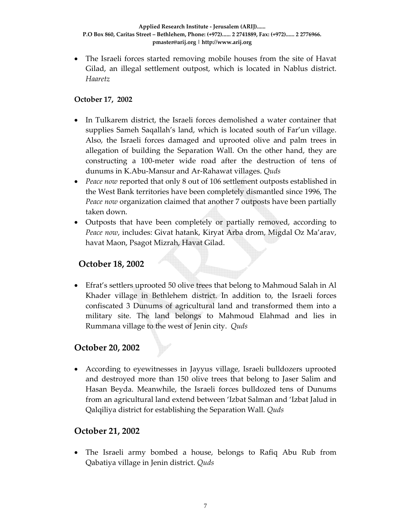• The Israeli forces started removing mobile houses from the site of Havat Gilad, an illegal settlement outpost, which is located in Nablus district. *Haaretz*

#### **October 17, 2002**

- In Tulkarem district, the Israeli forces demolished a water container that supplies Sameh Saqallah's land, which is located south of Far'un village. Also, the Israeli forces damaged and uprooted olive and palm trees in allegation of building the Separation Wall. On the other hand, they are constructing a 100‐meter wide road after the destruction of tens of dunums in K.Abu‐Mansur and Ar‐Rahawat villages. *Quds*
- *Peace now* reported that only 8 out of 106 settlement outposts established in the West Bank territories have been completely dismantled since 1996, The *Peace now* organization claimed that another 7 outposts have been partially taken down.
- Outposts that have been completely or partially removed, according to *Peace now*, includes: Givat hatank, Kiryat Arba drom, Migdal Oz Ma'arav, havat Maon, Psagot Mizrah, Havat Gilad.

#### **October 18, 2002**

• Efrat's settlers uprooted 50 olive trees that belong to Mahmoud Salah in Al Khader village in Bethlehem district. In addition to, the Israeli forces confiscated 3 Dunums of agricultural land and transformed them into a military site. The land belongs to Mahmoud Elahmad and lies in Rummana village to the west of Jenin city. *Quds* 

## **October 20, 2002**

• According to eyewitnesses in Jayyus village, Israeli bulldozers uprooted and destroyed more than 150 olive trees that belong to Jaser Salim and Hasan Beyda. Meanwhile, the Israeli forces bulldozed tens of Dunums from an agricultural land extend between 'Izbat Salman and 'Izbat Jalud in Qalqiliya district for establishing the Separation Wall. *Quds* 

#### **October 21, 2002**

• The Israeli army bombed a house, belongs to Rafiq Abu Rub from Qabatiya village in Jenin district. *Quds*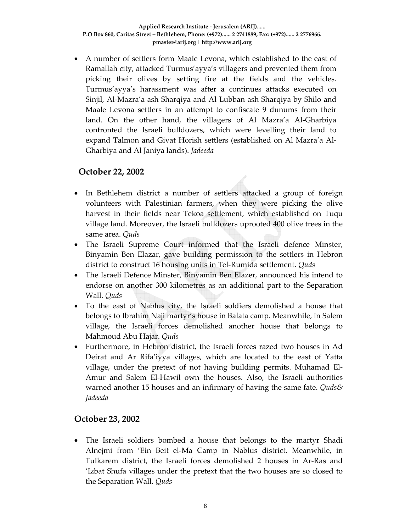• A number of settlers form Maale Levona, which established to the east of Ramallah city, attacked Turmus'ayya's villagers and prevented them from picking their olives by setting fire at the fields and the vehicles. Turmus'ayya's harassment was after a continues attacks executed on Sinjil, Al‐Mazra'a ash Sharqiya and Al Lubban ash Sharqiya by Shilo and Maale Levona settlers in an attempt to confiscate 9 dunums from their land. On the other hand, the villagers of Al Mazra'a Al‐Gharbiya confronted the Israeli bulldozers, which were levelling their land to expand Talmon and Givat Horish settlers (established on Al Mazra'a Al‐ Gharbiya and Al Janiya lands). *Jadeeda* 

## **October 22, 2002**

- In Bethlehem district a number of settlers attacked a group of foreign volunteers with Palestinian farmers, when they were picking the olive harvest in their fields near Tekoa settlement, which established on Tuqu village land. Moreover, the Israeli bulldozers uprooted 400 olive trees in the same area. *Quds*
- The Israeli Supreme Court informed that the Israeli defence Minster, Binyamin Ben Elazar, gave building permission to the settlers in Hebron district to construct 16 housing units in Tel‐Rumida settlement. *Quds*
- The Israeli Defence Minster, Binyamin Ben Elazer, announced his intend to endorse on another 300 kilometres as an additional part to the Separation Wall. *Quds*
- To the east of Nablus city, the Israeli soldiers demolished a house that belongs to Ibrahim Naji martyr's house in Balata camp. Meanwhile, in Salem village, the Israeli forces demolished another house that belongs to Mahmoud Abu Hajar. *Quds*
- Furthermore, in Hebron district, the Israeli forces razed two houses in Ad Deirat and Ar Rifa'iyya villages, which are located to the east of Yatta village, under the pretext of not having building permits. Muhamad El‐ Amur and Salem El‐Hawil own the houses. Also, the Israeli authorities warned another 15 houses and an infirmary of having the same fate. *Quds& Jadeeda*

## **October 23, 2002**

• The Israeli soldiers bombed a house that belongs to the martyr Shadi Alnejmi from 'Ein Beit el‐Ma Camp in Nablus district. Meanwhile, in Tulkarem district, the Israeli forces demolished 2 houses in Ar‐Ras and 'Izbat Shufa villages under the pretext that the two houses are so closed to the Separation Wall. *Quds*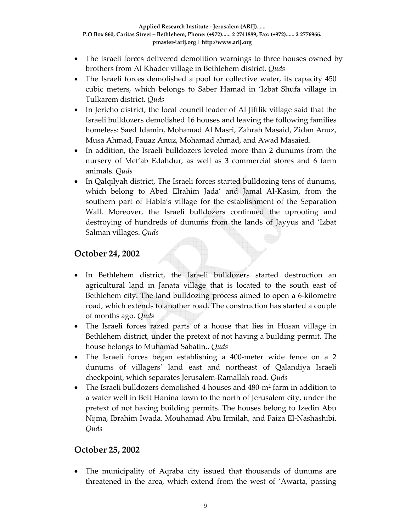- The Israeli forces delivered demolition warnings to three houses owned by brothers from Al Khader village in Bethlehem district. *Quds*
- The Israeli forces demolished a pool for collective water, its capacity 450 cubic meters, which belongs to Saber Hamad in 'Izbat Shufa village in Tulkarem district. *Quds*
- In Jericho district, the local council leader of Al Jiftlik village said that the Israeli bulldozers demolished 16 houses and leaving the following families homeless: Saed Idamin, Mohamad Al Masri, Zahrah Masaid, Zidan Anuz, Musa Ahmad, Fauaz Anuz, Mohamad ahmad, and Awad Masaied.
- In addition, the Israeli bulldozers leveled more than 2 dunums from the nursery of Met'ab Edahdur, as well as 3 commercial stores and 6 farm animals. *Quds*
- In Qalqilyah district, The Israeli forces started bulldozing tens of dunums, which belong to Abed Elrahim Jada' and Jamal Al‐Kasim, from the southern part of Habla's village for the establishment of the Separation Wall. Moreover, the Israeli bulldozers continued the uprooting and destroying of hundreds of dunums from the lands of Jayyus and 'Izbat Salman villages. *Quds*

# **October 24, 2002**

- In Bethlehem district, the Israeli bulldozers started destruction an agricultural land in Janata village that is located to the south east of Bethlehem city. The land bulldozing process aimed to open a 6‐kilometre road, which extends to another road. The construction has started a couple of months ago. *Quds*
- The Israeli forces razed parts of a house that lies in Husan village in Bethlehem district, under the pretext of not having a building permit. The house belongs to Muhamad Sabatin,. *Quds*
- The Israeli forces began establishing a 400-meter wide fence on a 2 dunums of villagers' land east and northeast of Qalandiya Israeli checkpoint, which separates Jerusalem‐Ramallah road. *Quds*
- The Israeli bulldozers demolished 4 houses and 480-m<sup>2</sup> farm in addition to a water well in Beit Hanina town to the north of Jerusalem city, under the pretext of not having building permits. The houses belong to Izedin Abu Nijma, Ibrahim Iwada, Mouhamad Abu Irmilah, and Faiza El‐Nashashibi. *Quds*

## **October 25, 2002**

• The municipality of Aqraba city issued that thousands of dunums are threatened in the area, which extend from the west of 'Awarta, passing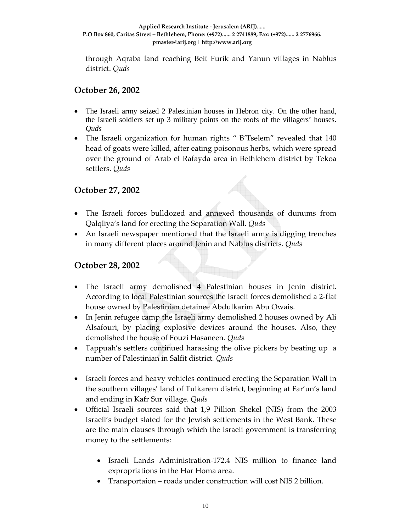through Aqraba land reaching Beit Furik and Yanun villages in Nablus district. *Quds* 

#### **October 26, 2002**

- The Israeli army seized 2 Palestinian houses in Hebron city. On the other hand, the Israeli soldiers set up 3 military points on the roofs of the villagers' houses. *Quds*
- The Israeli organization for human rights " B'Tselem" revealed that 140 head of goats were killed, after eating poisonous herbs, which were spread over the ground of Arab el Rafayda area in Bethlehem district by Tekoa settlers. *Quds*

# **October 27, 2002**

- The Israeli forces bulldozed and annexed thousands of dunums from Qalqliya's land for erecting the Separation Wall. *Quds*
- An Israeli newspaper mentioned that the Israeli army is digging trenches in many different places around Jenin and Nablus districts. *Quds*

## **October 28, 2002**

- The Israeli army demolished 4 Palestinian houses in Jenin district. According to local Palestinian sources the Israeli forces demolished a 2‐flat house owned by Palestinian detainee Abdulkarim Abu Owais.
- In Jenin refugee camp the Israeli army demolished 2 houses owned by Ali Alsafouri, by placing explosive devices around the houses. Also, they demolished the house of Fouzi Hasaneen*. Quds*
- Tappuah's settlers continued harassing the olive pickers by beating up a number of Palestinian in Salfit district*. Quds*
- Israeli forces and heavy vehicles continued erecting the Separation Wall in the southern villages' land of Tulkarem district, beginning at Far'un's land and ending in Kafr Sur village. *Quds*
- Official Israeli sources said that 1,9 Pillion Shekel (NIS) from the 2003 Israeli's budget slated for the Jewish settlements in the West Bank. These are the main clauses through which the Israeli government is transferring money to the settlements:
	- Israeli Lands Administration‐172.4 NIS million to finance land expropriations in the Har Homa area.
	- Transportaion roads under construction will cost NIS 2 billion.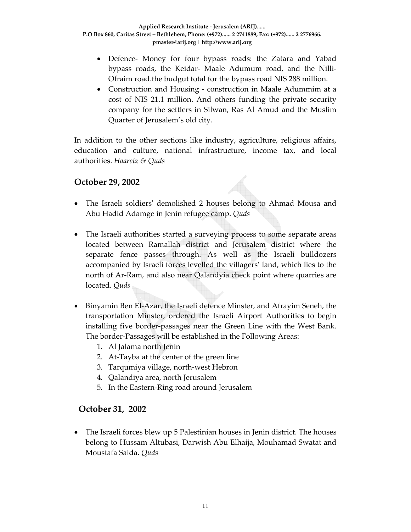- Defence- Money for four bypass roads: the Zatara and Yabad bypass roads, the Keidar‐ Maale Adumum road, and the Nilli‐ Ofraim road.the budgut total for the bypass road NIS 288 million.
- Construction and Housing construction in Maale Adummim at a cost of NIS 21.1 million. And others funding the private security company for the settlers in Silwan, Ras Al Amud and the Muslim Quarter of Jerusalem's old city.

In addition to the other sections like industry, agriculture, religious affairs, education and culture, national infrastructure, income tax, and local authorities. *Haaretz & Quds*

#### **October 29, 2002**

- The Israeli soldiers' demolished 2 houses belong to Ahmad Mousa and Abu Hadid Adamge in Jenin refugee camp. *Quds*
- The Israeli authorities started a surveying process to some separate areas located between Ramallah district and Jerusalem district where the separate fence passes through. As well as the Israeli bulldozers accompanied by Israeli forces levelled the villagers' land, which lies to the north of Ar‐Ram, and also near Qalandyia check point where quarries are located. *Quds*
- Binyamin Ben El-Azar, the Israeli defence Minster, and Afrayim Seneh, the transportation Minster, ordered the Israeli Airport Authorities to begin installing five border‐passages near the Green Line with the West Bank. The border‐Passages will be established in the Following Areas:
	- 1. Al Jalama north Jenin
	- 2. At‐Tayba at the center of the green line
	- 3. Tarqumiya village, north‐west Hebron
	- 4. Qalandiya area, north Jerusalem
	- 5. In the Eastern‐Ring road around Jerusalem

## **October 31, 2002**

• The Israeli forces blew up 5 Palestinian houses in Jenin district. The houses belong to Hussam Altubasi, Darwish Abu Elhaija, Mouhamad Swatat and Moustafa Saida. *Quds*